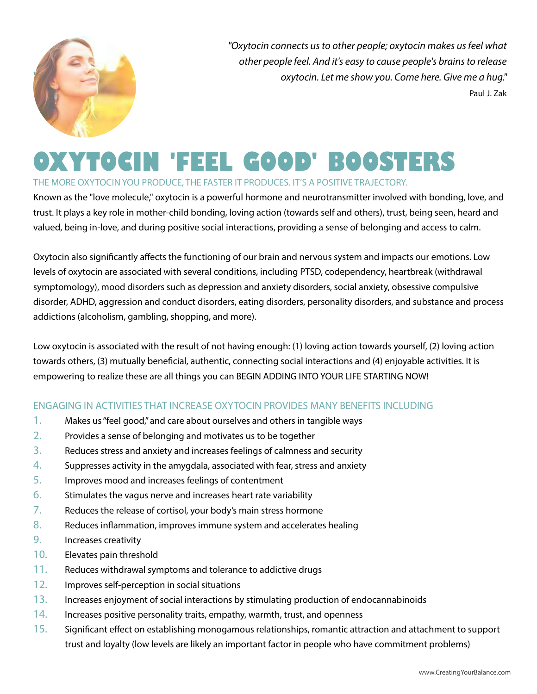

*"Oxytocin connects us to other people; oxytocin makes us feel what other people feel. And it's easy to cause people's brains to release oxytocin. Let me show you. Come here. Give me a hug."* Paul J. Zak

# **OXYTOCIN 'FEEL GOOD' BOOSTERS**

#### THE MORE OXYTOCIN YOU PRODUCE, THE FASTER IT PRODUCES. IT'S A POSITIVE TRAJECTORY.

Known as the "love molecule," oxytocin is a powerful hormone and neurotransmitter involved with bonding, love, and trust. It plays a key role in mother-child bonding, loving action (towards self and others), trust, being seen, heard and valued, being in-love, and during positive social interactions, providing a sense of belonging and access to calm.

Oxytocin also significantly affects the functioning of our brain and nervous system and impacts our emotions. Low levels of oxytocin are associated with several conditions, including PTSD, codependency, heartbreak (withdrawal symptomology), mood disorders such as depression and anxiety disorders, social anxiety, obsessive compulsive disorder, ADHD, aggression and conduct disorders, eating disorders, personality disorders, and substance and process addictions (alcoholism, gambling, shopping, and more).

Low oxytocin is associated with the result of not having enough: (1) loving action towards yourself, (2) loving action towards others, (3) mutually beneficial, authentic, connecting social interactions and (4) enjoyable activities. It is empowering to realize these are all things you can BEGIN ADDING INTO YOUR LIFE STARTING NOW!

### ENGAGING IN ACTIVITIES THAT INCREASE OXYTOCIN PROVIDES MANY BENEFITS INCLUDING

- 1. Makes us "feel good," and care about ourselves and others in tangible ways
- 2. Provides a sense of belonging and motivates us to be together
- 3. Reduces stress and anxiety and increases feelings of calmness and security
- 4. Suppresses activity in the amygdala, associated with fear, stress and anxiety
- 5. Improves mood and increases feelings of contentment
- 6. Stimulates the vagus nerve and increases heart rate variability
- 7. Reduces the release of cortisol, your body's main stress hormone
- 8. Reduces inflammation, improves immune system and accelerates healing
- 9. Increases creativity
- 10. Elevates pain threshold
- 11. Reduces withdrawal symptoms and tolerance to addictive drugs
- 12. Improves self-perception in social situations
- 13. Increases enjoyment of social interactions by stimulating production of endocannabinoids
- 14. Increases positive personality traits, empathy, warmth, trust, and openness
- 15. Significant effect on establishing monogamous relationships, romantic attraction and attachment to support trust and loyalty (low levels are likely an important factor in people who have commitment problems)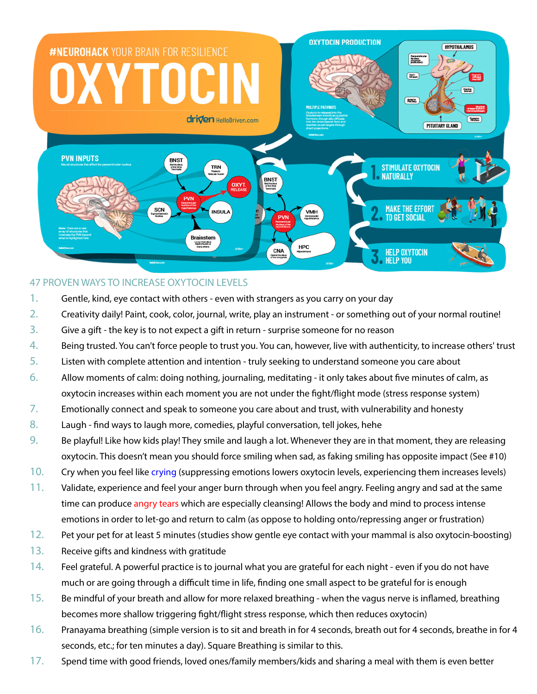

## 47 PROVEN WAYS TO INCREASE OXYTOCIN LEVELS

- 1. Gentle, kind, eye contact with others even with strangers as you carry on your day
- 2. Creativity daily! Paint, cook, color, journal, write, play an instrument or something out of your normal routine!
- 3. Give a gift the key is to not expect a gift in return surprise someone for no reason
- 4. Being trusted. You can't force people to trust you. You can, however, live with authenticity, to increase others' trust
- 5. Listen with complete attention and intention truly seeking to understand someone you care about
- 6. Allow moments of calm: doing nothing, journaling, meditating it only takes about five minutes of calm, as oxytocin increases within each moment you are not under the fight/flight mode (stress response system)
- 7. Emotionally connect and speak to someone you care about and trust, with vulnerability and honesty
- 8. Laugh find ways to laugh more, comedies, playful conversation, tell jokes, hehe
- 9. Be playful! Like how kids play! They smile and laugh a lot. Whenever they are in that moment, they are releasing oxytocin. This doesn't mean you should force smiling when sad, as faking smiling has opposite impact (See #10)
- 10. Cry when you feel like crying (suppressing emotions lowers oxytocin levels, experiencing them increases levels)
- 11. Validate, experience and feel your anger burn through when you feel angry. Feeling angry and sad at the same time can produce angry tears which are especially cleansing! Allows the body and mind to process intense emotions in order to let-go and return to calm (as oppose to holding onto/repressing anger or frustration)
- 12. Pet your pet for at least 5 minutes (studies show gentle eye contact with your mammal is also oxytocin-boosting)
- 13. Receive gifts and kindness with gratitude
- 14. Feel grateful. A powerful practice is to journal what you are grateful for each night even if you do not have much or are going through a difficult time in life, finding one small aspect to be grateful for is enough
- 15. Be mindful of your breath and allow for more relaxed breathing when the vagus nerve is inflamed, breathing becomes more shallow triggering fight/flight stress response, which then reduces oxytocin)
- 16. Pranayama breathing (simple version is to sit and breath in for 4 seconds, breath out for 4 seconds, breathe in for 4 seconds, etc.; for ten minutes a day). Square Breathing is similar to this.
- 17. Spend time with good friends, loved ones/family members/kids and sharing a meal with them is even better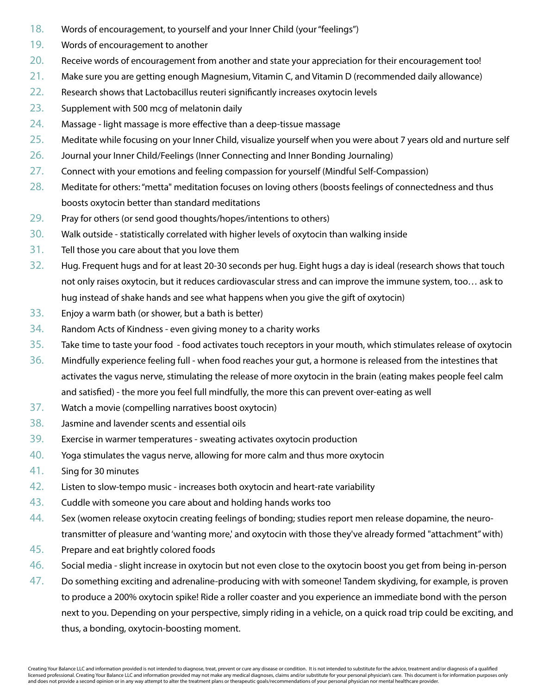- 18. Words of encouragement, to yourself and your Inner Child (your "feelings")
- 19. Words of encouragement to another
- 20. Receive words of encouragement from another and state your appreciation for their encouragement too!
- 21. Make sure you are getting enough Magnesium, Vitamin C, and Vitamin D (recommended daily allowance)
- 22. Research shows that Lactobacillus reuteri significantly increases oxytocin levels
- 23. Supplement with 500 mcg of melatonin daily
- 24. Massage light massage is more effective than a deep-tissue massage
- 25. Meditate while focusing on your Inner Child, visualize yourself when you were about 7 years old and nurture self
- 26. Journal your Inner Child/Feelings (Inner Connecting and Inner Bonding Journaling)
- 27. Connect with your emotions and feeling compassion for yourself (Mindful Self-Compassion)
- 28. Meditate for others: "metta" meditation focuses on loving others (boosts feelings of connectedness and thus boosts oxytocin better than standard meditations
- 29. Pray for others (or send good thoughts/hopes/intentions to others)
- 30. Walk outside statistically correlated with higher levels of oxytocin than walking inside
- 31. Tell those you care about that you love them
- 32. Hug. Frequent hugs and for at least 20-30 seconds per hug. Eight hugs a day is ideal (research shows that touch not only raises oxytocin, but it reduces cardiovascular stress and can improve the immune system, too… ask to hug instead of shake hands and see what happens when you give the gift of oxytocin)
- 33. Enjoy a warm bath (or shower, but a bath is better)
- 34. Random Acts of Kindness even giving money to a charity works
- 35. Take time to taste your food food activates touch receptors in your mouth, which stimulates release of oxytocin
- 36. Mindfully experience feeling full when food reaches your gut, a hormone is released from the intestines that activates the vagus nerve, stimulating the release of more oxytocin in the brain (eating makes people feel calm and satisfied) - the more you feel full mindfully, the more this can prevent over-eating as well
- 37. Watch a movie (compelling narratives boost oxytocin)
- 38. Jasmine and lavender scents and essential oils
- 39. Exercise in warmer temperatures sweating activates oxytocin production
- 40. Yoga stimulates the vagus nerve, allowing for more calm and thus more oxytocin
- 41. Sing for 30 minutes
- 42. Listen to slow-tempo music increases both oxytocin and heart-rate variability
- 43. Cuddle with someone you care about and holding hands works too
- $44.$  Sex (women release oxytocin creating feelings of bonding; studies report men release dopamine, the neurotransmitter of pleasure and 'wanting more,' and oxytocin with those they've already formed "attachment" with)
- 45. Prepare and eat brightly colored foods
- 46. Social media slight increase in oxytocin but not even close to the oxytocin boost you get from being in-person
- 47. Do something exciting and adrenaline-producing with with someone! Tandem skydiving, for example, is proven to produce a 200% oxytocin spike! Ride a roller coaster and you experience an immediate bond with the person next to you. Depending on your perspective, simply riding in a vehicle, on a quick road trip could be exciting, and thus, a bonding, oxytocin-boosting moment.